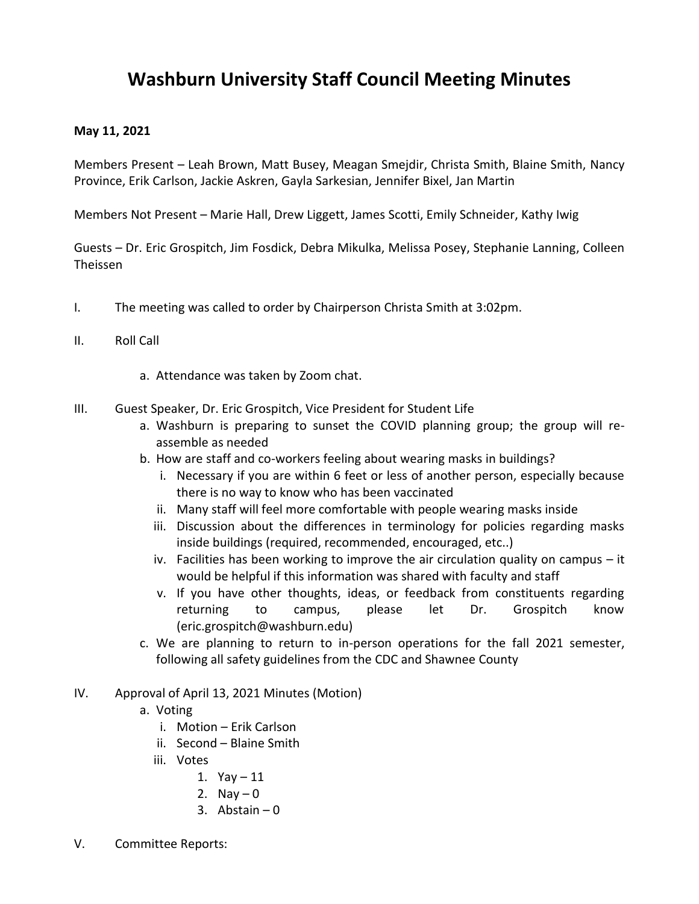## **Washburn University Staff Council Meeting Minutes**

## **May 11, 2021**

Members Present – Leah Brown, Matt Busey, Meagan Smejdir, Christa Smith, Blaine Smith, Nancy Province, Erik Carlson, Jackie Askren, Gayla Sarkesian, Jennifer Bixel, Jan Martin

Members Not Present – Marie Hall, Drew Liggett, James Scotti, Emily Schneider, Kathy Iwig

Guests – Dr. Eric Grospitch, Jim Fosdick, Debra Mikulka, Melissa Posey, Stephanie Lanning, Colleen Theissen

- I. The meeting was called to order by Chairperson Christa Smith at 3:02pm.
- II. Roll Call
	- a. Attendance was taken by Zoom chat.
- III. Guest Speaker, Dr. Eric Grospitch, Vice President for Student Life
	- a. Washburn is preparing to sunset the COVID planning group; the group will reassemble as needed
	- b. How are staff and co-workers feeling about wearing masks in buildings?
		- i. Necessary if you are within 6 feet or less of another person, especially because there is no way to know who has been vaccinated
		- ii. Many staff will feel more comfortable with people wearing masks inside
		- iii. Discussion about the differences in terminology for policies regarding masks inside buildings (required, recommended, encouraged, etc..)
		- iv. Facilities has been working to improve the air circulation quality on campus it would be helpful if this information was shared with faculty and staff
		- v. If you have other thoughts, ideas, or feedback from constituents regarding returning to campus, please let Dr. Grospitch know (eric.grospitch@washburn.edu)
	- c. We are planning to return to in-person operations for the fall 2021 semester, following all safety guidelines from the CDC and Shawnee County
- IV. Approval of April 13, 2021 Minutes (Motion)
	- a. Voting
		- i. Motion Erik Carlson
		- ii. Second Blaine Smith
		- iii. Votes
			- 1. Yay 11
			- 2. Nay  $-0$
			- 3. Abstain  $-0$
- V. Committee Reports: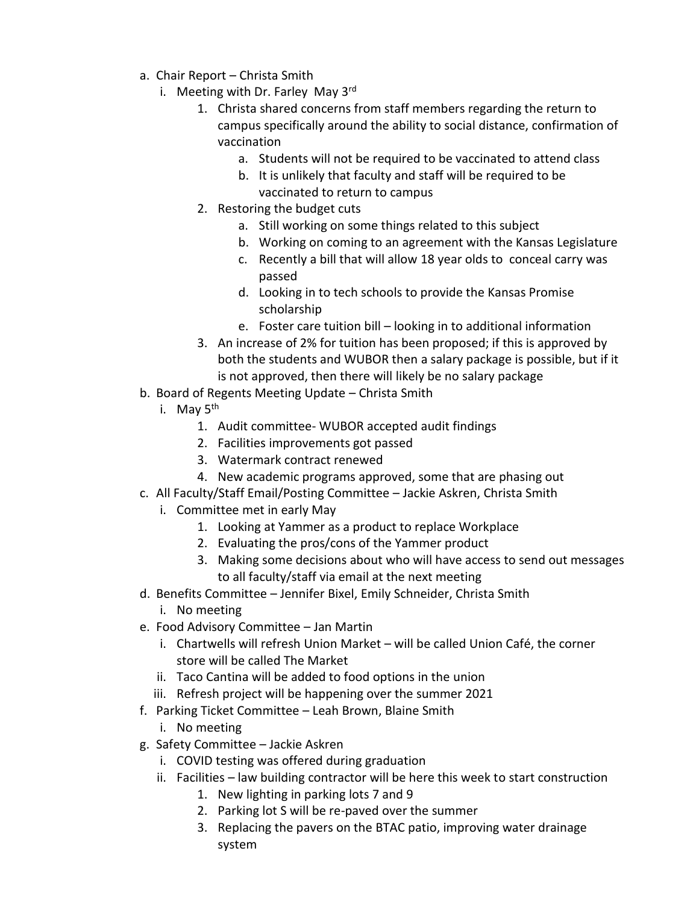- a. Chair Report Christa Smith
	- i. Meeting with Dr. Farley May  $3<sup>rd</sup>$ 
		- 1. Christa shared concerns from staff members regarding the return to campus specifically around the ability to social distance, confirmation of vaccination
			- a. Students will not be required to be vaccinated to attend class
			- b. It is unlikely that faculty and staff will be required to be vaccinated to return to campus
		- 2. Restoring the budget cuts
			- a. Still working on some things related to this subject
			- b. Working on coming to an agreement with the Kansas Legislature
			- c. Recently a bill that will allow 18 year olds to conceal carry was passed
			- d. Looking in to tech schools to provide the Kansas Promise scholarship
			- e. Foster care tuition bill looking in to additional information
		- 3. An increase of 2% for tuition has been proposed; if this is approved by both the students and WUBOR then a salary package is possible, but if it is not approved, then there will likely be no salary package
- b. Board of Regents Meeting Update Christa Smith
	- i. May  $5<sup>th</sup>$ 
		- 1. Audit committee- WUBOR accepted audit findings
		- 2. Facilities improvements got passed
		- 3. Watermark contract renewed
		- 4. New academic programs approved, some that are phasing out
- c. All Faculty/Staff Email/Posting Committee Jackie Askren, Christa Smith
	- i. Committee met in early May
		- 1. Looking at Yammer as a product to replace Workplace
		- 2. Evaluating the pros/cons of the Yammer product
		- 3. Making some decisions about who will have access to send out messages to all faculty/staff via email at the next meeting
- d. Benefits Committee Jennifer Bixel, Emily Schneider, Christa Smith
	- i. No meeting
- e. Food Advisory Committee Jan Martin
	- i. Chartwells will refresh Union Market will be called Union Café, the corner store will be called The Market
	- ii. Taco Cantina will be added to food options in the union
	- iii. Refresh project will be happening over the summer 2021
- f. Parking Ticket Committee Leah Brown, Blaine Smith
	- i. No meeting
- g. Safety Committee Jackie Askren
	- i. COVID testing was offered during graduation
	- ii. Facilities law building contractor will be here this week to start construction
		- 1. New lighting in parking lots 7 and 9
		- 2. Parking lot S will be re-paved over the summer
		- 3. Replacing the pavers on the BTAC patio, improving water drainage system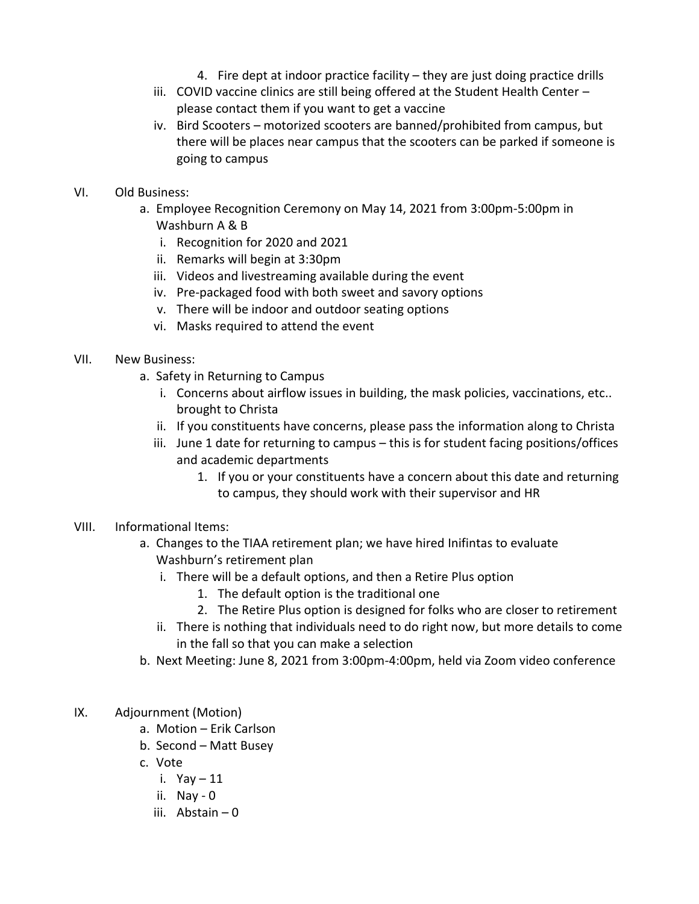- 4. Fire dept at indoor practice facility they are just doing practice drills
- iii. COVID vaccine clinics are still being offered at the Student Health Center please contact them if you want to get a vaccine
- iv. Bird Scooters motorized scooters are banned/prohibited from campus, but there will be places near campus that the scooters can be parked if someone is going to campus
- VI. Old Business:
	- a. Employee Recognition Ceremony on May 14, 2021 from 3:00pm-5:00pm in Washburn A & B
		- i. Recognition for 2020 and 2021
		- ii. Remarks will begin at 3:30pm
		- iii. Videos and livestreaming available during the event
		- iv. Pre-packaged food with both sweet and savory options
		- v. There will be indoor and outdoor seating options
		- vi. Masks required to attend the event
- VII. New Business:
	- a. Safety in Returning to Campus
		- i. Concerns about airflow issues in building, the mask policies, vaccinations, etc.. brought to Christa
		- ii. If you constituents have concerns, please pass the information along to Christa
		- iii. June 1 date for returning to campus this is for student facing positions/offices and academic departments
			- 1. If you or your constituents have a concern about this date and returning to campus, they should work with their supervisor and HR
- VIII. Informational Items:
	- a. Changes to the TIAA retirement plan; we have hired Inifintas to evaluate Washburn's retirement plan
		- i. There will be a default options, and then a Retire Plus option
			- 1. The default option is the traditional one
			- 2. The Retire Plus option is designed for folks who are closer to retirement
		- ii. There is nothing that individuals need to do right now, but more details to come in the fall so that you can make a selection
	- b. Next Meeting: June 8, 2021 from 3:00pm-4:00pm, held via Zoom video conference
- IX. Adjournment (Motion)
	- a. Motion Erik Carlson
	- b. Second Matt Busey
	- c. Vote
		- i. Yay 11
		- ii. Nay 0
		- iii. Abstain 0